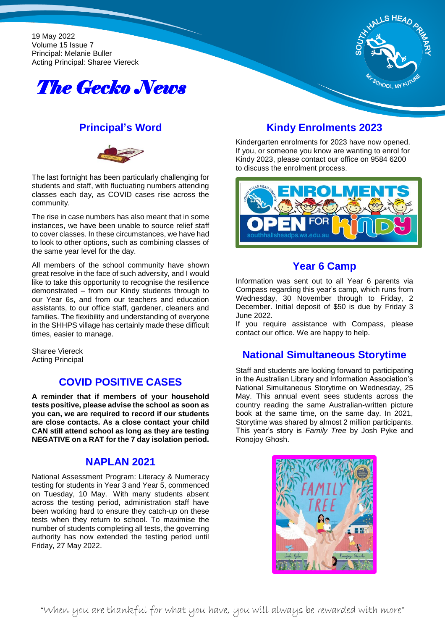19 May 2022 Volume 15 Issue 7 Principal: Melanie Buller Acting Principal: Sharee Viereck





### **Principal's Word**



The last fortnight has been particularly challenging for students and staff, with fluctuating numbers attending classes each day, as COVID cases rise across the community.

The rise in case numbers has also meant that in some instances, we have been unable to source relief staff to cover classes. In these circumstances, we have had to look to other options, such as combining classes of the same year level for the day.

All members of the school community have shown great resolve in the face of such adversity, and I would like to take this opportunity to recognise the resilience demonstrated – from our Kindy students through to our Year 6s, and from our teachers and education assistants, to our office staff, gardener, cleaners and families. The flexibility and understanding of everyone in the SHHPS village has certainly made these difficult times, easier to manage.

Sharee Viereck Acting Principal

### **COVID POSITIVE CASES**

**A reminder that if members of your household tests positive, please advise the school as soon as you can, we are required to record if our students are close contacts. As a close contact your child CAN still attend school as long as they are testing NEGATIVE on a RAT for the 7 day isolation period.** 

#### **NAPLAN 2021**

National Assessment Program: Literacy & Numeracy testing for students in Year 3 and Year 5, commenced on Tuesday, 10 May. With many students absent across the testing period, administration staff have been working hard to ensure they catch-up on these tests when they return to school. To maximise the number of students completing all tests, the governing authority has now extended the testing period until Friday, 27 May 2022.

# **Kindy Enrolments 2023**

Kindergarten enrolments for 2023 have now opened. If you, or someone you know are wanting to enrol for Kindy 2023, please contact our office on 9584 6200 to discuss the enrolment process.



#### **Year 6 Camp**

Information was sent out to all Year 6 parents via Compass regarding this year's camp, which runs from Wednesday, 30 November through to Friday, 2 December. Initial deposit of \$50 is due by Friday 3 June 2022.

If you require assistance with Compass, please contact our office. We are happy to help.

### **National Simultaneous Storytime**

Staff and students are looking forward to participating in the Australian Library and Information Association's National Simultaneous Storytime on Wednesday, 25 May. This annual event sees students across the country reading the same Australian-written picture book at the same time, on the same day. In 2021, Storytime was shared by almost 2 million participants. This year's story is *Family Tree* by Josh Pyke and Ronojoy Ghosh.

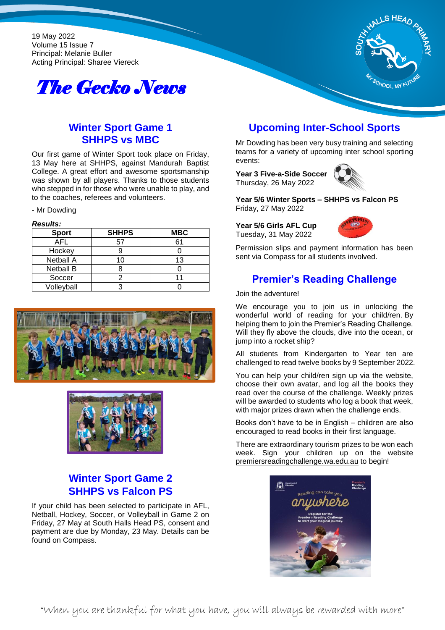19 May 2022 Volume 15 Issue 7 Principal: Melanie Buller Acting Principal: Sharee Viereck





# **Winter Sport Game 1 SHHPS vs MBC**

Our first game of Winter Sport took place on Friday, 13 May here at SHHPS, against Mandurah Baptist College. A great effort and awesome sportsmanship was shown by all players. Thanks to those students who stepped in for those who were unable to play, and to the coaches, referees and volunteers.

#### - Mr Dowding

#### *Results:*

| ,,,,,,,,,,       |              |            |
|------------------|--------------|------------|
| <b>Sport</b>     | <b>SHHPS</b> | <b>MBC</b> |
| AFL              | 5.           | հ1         |
| Hockey           |              |            |
| <b>Netball A</b> | 10           | 13         |
| <b>Netball B</b> |              |            |
| Soccer           |              |            |
| Volleyball       |              |            |





## **Winter Sport Game 2 SHHPS vs Falcon PS**

If your child has been selected to participate in AFL, Netball, Hockey, Soccer, or Volleyball in Game 2 on Friday, 27 May at South Halls Head PS, consent and payment are due by Monday, 23 May. Details can be found on Compass.

## **Upcoming Inter-School Sports**

Mr Dowding has been very busy training and selecting teams for a variety of upcoming inter school sporting events:

**Year 3 Five-a-Side Soccer** Thursday, 26 May 2022



**Year 5/6 Winter Sports – SHHPS vs Falcon PS** Friday, 27 May 2022

**Year 5/6 Girls AFL Cup** Tuesday, 31 May 2022



Permission slips and payment information has been sent via Compass for all students involved.

#### **Premier's Reading Challenge**

Join the adventure!

We encourage you to join us in unlocking the wonderful world of reading for your child/ren. By helping them to join the Premier's Reading Challenge. Will they fly above the clouds, dive into the ocean, or jump into a rocket ship?

All students from Kindergarten to Year ten are challenged to read twelve books by 9 September 2022.

You can help your child/ren sign up via the website, choose their own avatar, and log all the books they read over the course of the challenge. Weekly prizes will be awarded to students who log a book that week, with major prizes drawn when the challenge ends.

Books don't have to be in English – children are also encouraged to read books in their first language.

There are extraordinary tourism prizes to be won each week. Sign your children up on the website premiersreadingchallenge.wa.edu.au to begin!